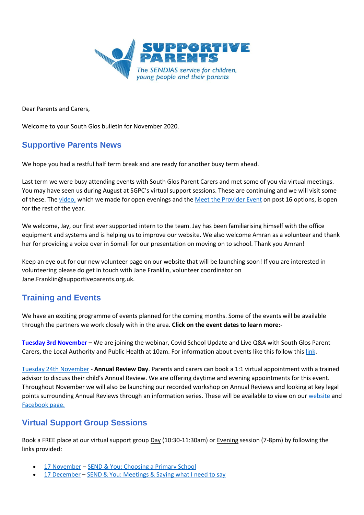

Dear Parents and Carers,

Welcome to your South Glos bulletin for November 2020.

# **Supportive Parents News**

We hope you had a restful half term break and are ready for another busy term ahead.

Last term we were busy attending events with South Glos Parent Carers and met some of you via virtual meetings. You may have seen us during August at SGPC's virtual support sessions. These are continuing and we will visit some of these. The [video,](https://www.supportiveparents.org.uk/resources/videos/) which we made for open evenings and th[e Meet the Provider Event](https://www.liketobe.org/careersInfoProviders/meettheprovider/timeline) on post 16 options, is open for the rest of the year.

We welcome, Jay, our first ever supported intern to the team. Jay has been familiarising himself with the office equipment and systems and is helping us to improve our website. We also welcome Amran as a volunteer and thank her for providing a voice over in Somali for our presentation on moving on to school. Thank you Amran!

Keep an eye out for our new volunteer page on our website that will be launching soon! If you are interested in volunteering please do get in touch with Jane Franklin, volunteer coordinator on Jane.Franklin@supportiveparents.org.uk.

# **Training and Events**

We have an exciting programme of events planned for the coming months. Some of the events will be available through the partners we work closely with in the area. **Click on the event dates to learn more:-**

**[Tuesday 3rd November](https://bristollocaloffercoffeemorning.eventbrite.co.uk/) –** We are joining the webinar, Covid School Update and Live Q&A with South Glos Parent Carers, the Local Authority and Public Health at 10am. For information about events like this follow this [link.](https://www.sglospc.org.uk/calendar/hricyp0zk7gaor4lzmrulf7g2ytldk-3-11-2020)

[Tuesday 24th November](https://annualreviewsurgery.eventbrite.co.uk/) - **Annual Review Day**. Parents and carers can book a 1:1 virtual appointment with a trained advisor to discuss their child's Annual Review. We are offering daytime and evening appointments for this event. Throughout November we will also be launching our recorded workshop on Annual Reviews and looking at key legal points surrounding Annual Reviews through an information series. These will be available to view on our [website](https://www.supportiveparents.org.uk/resources/information-series/) and [Facebook page.](https://www.facebook.com/SupportiveparentsPPS)

# **Virtual Support Group Sessions**

Book a FREE place at our virtual support group Day (10:30-11:30am) or Evening session (7-8pm) by following the links provided:

- [17 November](https://www.eventbrite.co.uk/e/sendyouchoosing-a-primary-school-tuesday-17th-november-1030am-7pm-tickets-123454719389) [SEND & You: Choosing a Primary School](https://choosingaprimaryschoolsg.eventbrite.co.uk/)
- [17 December](https://www.eventbrite.co.uk/e/sendyou-meetings-thursday-17th-december-1030am-7pm-tickets-123457024283) [SEND & You: Meetings & Saying what I need to say](https://sendandyoumeetings.eventbrite.co.uk/)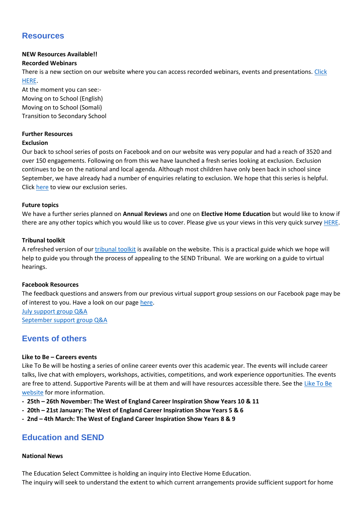# **Resources**

## **NEW Resources Available!!**

### **Recorded Webinars**

There is a new section on our website where you can access recorded webinars, events and presentations. [Click](https://www.supportiveparents.org.uk/resources/workshop-recordings/)  [HERE.](https://www.supportiveparents.org.uk/resources/workshop-recordings/)

At the moment you can see:- Moving on to School (English) Moving on to School (Somali) Transition to Secondary School

### **Further Resources**

#### **Exclusion**

Our back to school series of posts on Facebook and on our website was very popular and had a reach of 3520 and over 150 engagements. Following on from this we have launched a fresh series looking at exclusion. Exclusion continues to be on the national and local agenda. Although most children have only been back in school since September, we have already had a number of enquiries relating to exclusion. We hope that this series is helpful. Click [here](https://www.supportiveparents.org.uk/resources/information-series/) to view our exclusion series.

### **Future topics**

We have a further series planned on **Annual Reviews** and one on **Elective Home Education** but would like to know if there are any other topics which you would like us to cover. Please give us your views in this very quick survey [HERE.](https://www.surveymonkey.co.uk/r/SPtopic)

### **Tribunal toolkit**

A refreshed version of ou[r tribunal toolkit](https://www.supportiveparents.org.uk/wp-content/uploads/2020/10/tribunals-content-and-placement-appeal.pdf) is available on the website. This is a practical guide which we hope will help to guide you through the process of appealing to the SEND Tribunal. We are working on a guide to virtual hearings.

### **Facebook Resources**

The feedback questions and answers from our previous virtual support group sessions on our Facebook page may be of interest to you. Have a look on our page [here.](https://www.facebook.com/SupportiveparentsPPS)

[July support group Q&A](https://www.facebook.com/SupportiveparentsPPS/posts/4017536201595965?__tn__=-R) [September support group Q&A](https://www.facebook.com/SupportiveparentsPPS/photos/pcb.4103249049691346/4103243679691883/)

# **Events of others**

### **Like to Be – Careers events**

Like To Be will be hosting a series of online career events over this academic year. The events will include career talks, live chat with employers, workshops, activities, competitions, and work experience opportunities. The events are free to attend. Supportive Parents will be at them and will have resources accessible there. See th[e Like To Be](https://www.liketobe.org/)  [website](https://www.liketobe.org/) for more information.

- **- 25th – 26th November: The West of England Career Inspiration Show Years 10 & 11**
- **- 20th – 21st January: The West of England Career Inspiration Show Years 5 & 6**
- **- 2nd – 4th March: The West of England Career Inspiration Show Years 8 & 9**

# **Education and SEND**

#### **National News**

The Education Select Committee is holding an inquiry into Elective Home Education. The inquiry will seek to understand the extent to which current arrangements provide sufficient support for home